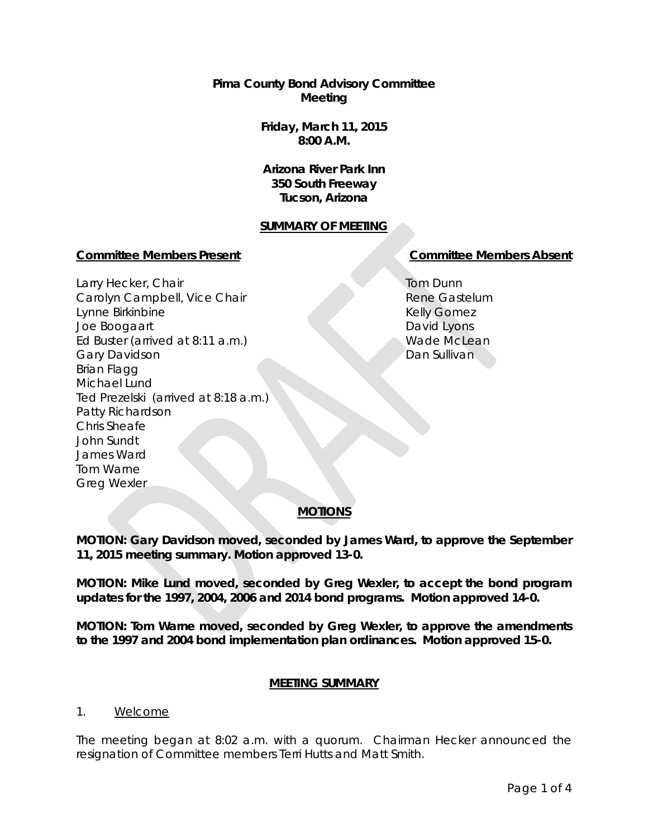**Pima County Bond Advisory Committee Meeting**

> **Friday, March 11, 2015 8:00 A.M.**

**Arizona River Park Inn 350 South Freeway Tucson, Arizona**

### **SUMMARY OF MEETING**

#### **Committee Members Present Committee Members Absent**

Larry Hecker, Chair Carolyn Campbell, Vice Chair Lynne Birkinbine Joe Boogaart Ed Buster (arrived at 8:11 a.m.) Gary Davidson Brian Flagg Michael Lund Ted Prezelski (arrived at 8:18 a.m.) Patty Richardson Chris Sheafe John Sundt James Ward Tom Warne Greg Wexler

Tom Dunn Rene Gastelum Kelly Gomez David Lyons Wade McLean Dan Sullivan

# **MOTIONS**

**MOTION: Gary Davidson moved, seconded by James Ward, to approve the September 11, 2015 meeting summary. Motion approved 13-0.**

**MOTION: Mike Lund moved, seconded by Greg Wexler, to accept the bond program updates for the 1997, 2004, 2006 and 2014 bond programs. Motion approved 14-0.**

**MOTION: Tom Warne moved, seconded by Greg Wexler, to approve the amendments to the 1997 and 2004 bond implementation plan ordinances. Motion approved 15-0.** 

### **MEETING SUMMARY**

#### 1. Welcome

The meeting began at 8:02 a.m. with a quorum. Chairman Hecker announced the resignation of Committee members Terri Hutts and Matt Smith.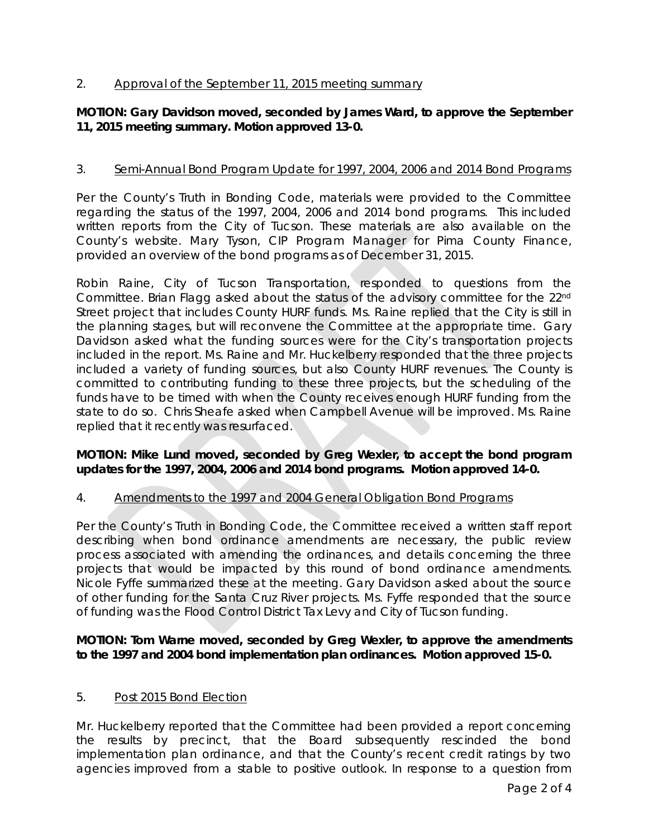# 2. Approval of the September 11, 2015 meeting summary

# **MOTION: Gary Davidson moved, seconded by James Ward, to approve the September 11, 2015 meeting summary. Motion approved 13-0.**

# 3. Semi-Annual Bond Program Update for 1997, 2004, 2006 and 2014 Bond Programs

Per the County's Truth in Bonding Code, materials were provided to the Committee regarding the status of the 1997, 2004, 2006 and 2014 bond programs. This included written reports from the City of Tucson. These materials are also available on the County's website. Mary Tyson, CIP Program Manager for Pima County Finance, provided an overview of the bond programs as of December 31, 2015.

Robin Raine, City of Tucson Transportation, responded to questions from the Committee. Brian Flagg asked about the status of the advisory committee for the 22nd Street project that includes County HURF funds. Ms. Raine replied that the City is still in the planning stages, but will reconvene the Committee at the appropriate time. Gary Davidson asked what the funding sources were for the City's transportation projects included in the report. Ms. Raine and Mr. Huckelberry responded that the three projects included a variety of funding sources, but also County HURF revenues. The County is committed to contributing funding to these three projects, but the scheduling of the funds have to be timed with when the County receives enough HURF funding from the state to do so. Chris Sheafe asked when Campbell Avenue will be improved. Ms. Raine replied that it recently was resurfaced.

## **MOTION: Mike Lund moved, seconded by Greg Wexler, to accept the bond program updates for the 1997, 2004, 2006 and 2014 bond programs. Motion approved 14-0.**

### 4. Amendments to the 1997 and 2004 General Obligation Bond Programs

Per the County's Truth in Bonding Code, the Committee received a written staff report describing when bond ordinance amendments are necessary, the public review process associated with amending the ordinances, and details concerning the three projects that would be impacted by this round of bond ordinance amendments. Nicole Fyffe summarized these at the meeting. Gary Davidson asked about the source of other funding for the Santa Cruz River projects. Ms. Fyffe responded that the source of funding was the Flood Control District Tax Levy and City of Tucson funding.

### **MOTION: Tom Warne moved, seconded by Greg Wexler, to approve the amendments to the 1997 and 2004 bond implementation plan ordinances. Motion approved 15-0.**

### 5. Post 2015 Bond Election

Mr. Huckelberry reported that the Committee had been provided a report concerning the results by precinct, that the Board subsequently rescinded the bond implementation plan ordinance, and that the County's recent credit ratings by two agencies improved from a stable to positive outlook. In response to a question from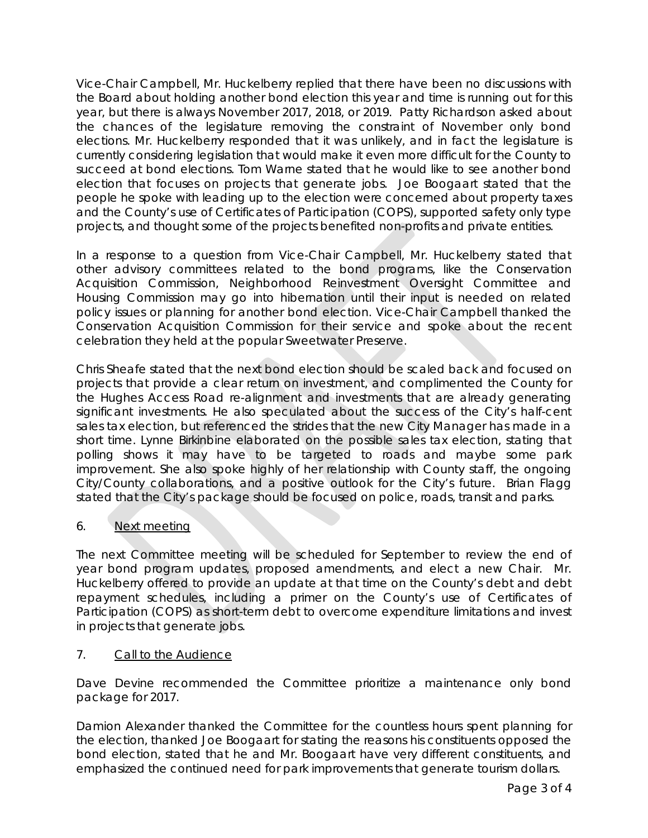Vice-Chair Campbell, Mr. Huckelberry replied that there have been no discussions with the Board about holding another bond election this year and time is running out for this year, but there is always November 2017, 2018, or 2019. Patty Richardson asked about the chances of the legislature removing the constraint of November only bond elections. Mr. Huckelberry responded that it was unlikely, and in fact the legislature is currently considering legislation that would make it even more difficult for the County to succeed at bond elections. Tom Warne stated that he would like to see another bond election that focuses on projects that generate jobs. Joe Boogaart stated that the people he spoke with leading up to the election were concerned about property taxes and the County's use of Certificates of Participation (COPS), supported safety only type projects, and thought some of the projects benefited non-profits and private entities.

In a response to a question from Vice-Chair Campbell, Mr. Huckelberry stated that other advisory committees related to the bond programs, like the Conservation Acquisition Commission, Neighborhood Reinvestment Oversight Committee and Housing Commission may go into hibernation until their input is needed on related policy issues or planning for another bond election. Vice-Chair Campbell thanked the Conservation Acquisition Commission for their service and spoke about the recent celebration they held at the popular Sweetwater Preserve.

Chris Sheafe stated that the next bond election should be scaled back and focused on projects that provide a clear return on investment, and complimented the County for the Hughes Access Road re-alignment and investments that are already generating significant investments. He also speculated about the success of the City's half-cent sales tax election, but referenced the strides that the new City Manager has made in a short time. Lynne Birkinbine elaborated on the possible sales tax election, stating that polling shows it may have to be targeted to roads and maybe some park improvement. She also spoke highly of her relationship with County staff, the ongoing City/County collaborations, and a positive outlook for the City's future. Brian Flagg stated that the City's package should be focused on police, roads, transit and parks.

# 6. Next meeting

The next Committee meeting will be scheduled for September to review the end of year bond program updates, proposed amendments, and elect a new Chair. Mr. Huckelberry offered to provide an update at that time on the County's debt and debt repayment schedules, including a primer on the County's use of Certificates of Participation (COPS) as short-term debt to overcome expenditure limitations and invest in projects that generate jobs.

# 7. Call to the Audience

Dave Devine recommended the Committee prioritize a maintenance only bond package for 2017.

Damion Alexander thanked the Committee for the countless hours spent planning for the election, thanked Joe Boogaart for stating the reasons his constituents opposed the bond election, stated that he and Mr. Boogaart have very different constituents, and emphasized the continued need for park improvements that generate tourism dollars.